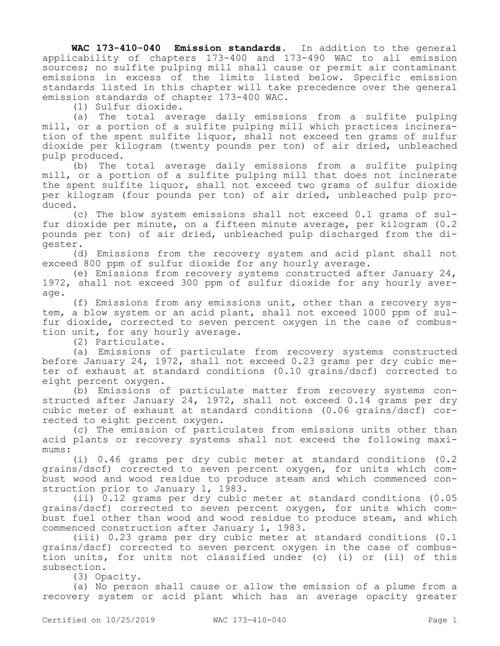**WAC 173-410-040 Emission standards.** In addition to the general applicability of chapters 173-400 and 173-490 WAC to all emission sources; no sulfite pulping mill shall cause or permit air contaminant emissions in excess of the limits listed below. Specific emission standards listed in this chapter will take precedence over the general emission standards of chapter 173-400 WAC.

(1) Sulfur dioxide.

(a) The total average daily emissions from a sulfite pulping mill, or a portion of a sulfite pulping mill which practices incineration of the spent sulfite liquor, shall not exceed ten grams of sulfur dioxide per kilogram (twenty pounds per ton) of air dried, unbleached pulp produced.

(b) The total average daily emissions from a sulfite pulping mill, or a portion of a sulfite pulping mill that does not incinerate the spent sulfite liquor, shall not exceed two grams of sulfur dioxide per kilogram (four pounds per ton) of air dried, unbleached pulp produced.

(c) The blow system emissions shall not exceed 0.1 grams of sulfur dioxide per minute, on a fifteen minute average, per kilogram (0.2 pounds per ton) of air dried, unbleached pulp discharged from the digester.

(d) Emissions from the recovery system and acid plant shall not exceed 800 ppm of sulfur dioxide for any hourly average.

(e) Emissions from recovery systems constructed after January 24, 1972, shall not exceed 300 ppm of sulfur dioxide for any hourly average.

(f) Emissions from any emissions unit, other than a recovery system, a blow system or an acid plant, shall not exceed 1000 ppm of sulfur dioxide, corrected to seven percent oxygen in the case of combustion unit, for any hourly average.

(2) Particulate.

(a) Emissions of particulate from recovery systems constructed before January 24, 1972, shall not exceed 0.23 grams per dry cubic meter of exhaust at standard conditions (0.10 grains/dscf) corrected to eight percent oxygen.

(b) Emissions of particulate matter from recovery systems constructed after January 24, 1972, shall not exceed 0.14 grams per dry cubic meter of exhaust at standard conditions (0.06 grains/dscf) corrected to eight percent oxygen.

(c) The emission of particulates from emissions units other than acid plants or recovery systems shall not exceed the following maximums:

(i) 0.46 grams per dry cubic meter at standard conditions (0.2 grains/dscf) corrected to seven percent oxygen, for units which combust wood and wood residue to produce steam and which commenced construction prior to January 1, 1983.

(ii) 0.12 grams per dry cubic meter at standard conditions (0.05 grains/dscf) corrected to seven percent oxygen, for units which combust fuel other than wood and wood residue to produce steam, and which commenced construction after January 1, 1983.

(iii) 0.23 grams per dry cubic meter at standard conditions (0.1 grains/dscf) corrected to seven percent oxygen in the case of combustion units, for units not classified under (c) (i) or (ii) of this subsection.

(3) Opacity.

(a) No person shall cause or allow the emission of a plume from a recovery system or acid plant which has an average opacity greater